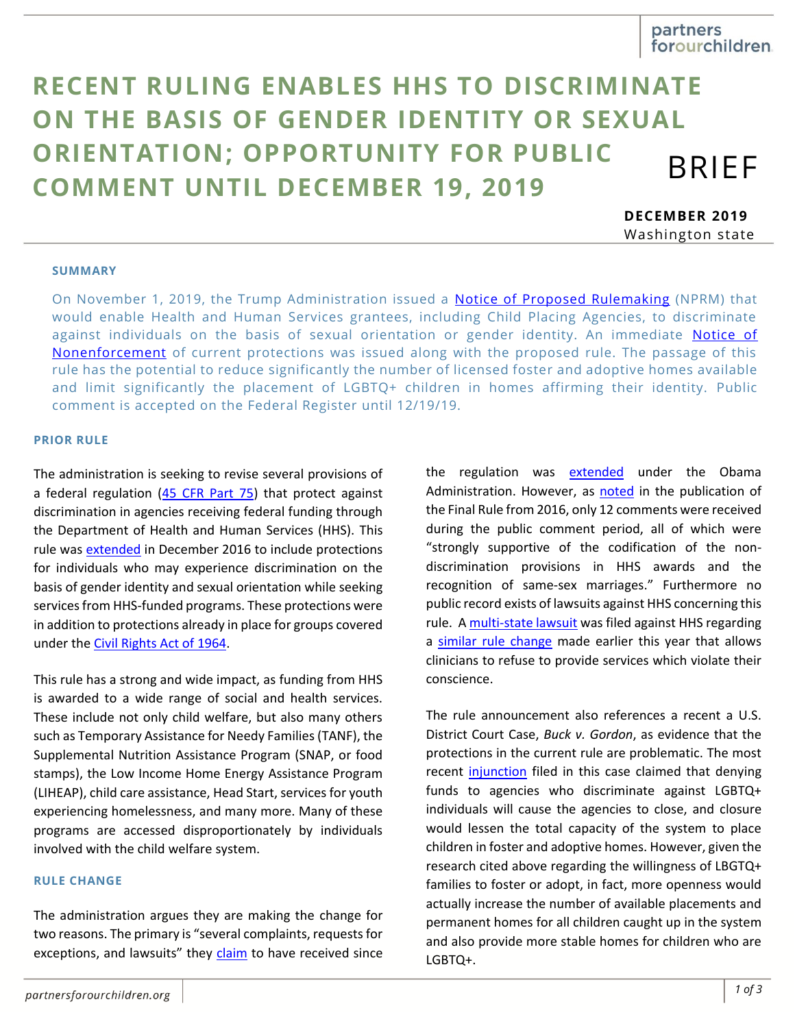# **RECENT RULING ENABLES HHS TO DISCRIMINATE ON THE BASIS OF GENDER IDENTITY OR SEXUAL ORIENTATION; OPPORTUNITY FOR PUBLIC COMMENT UNTIL DECEMBER 19, 2019** BRIEF

**DECEMBER 2019** Washington state

#### **SUMMARY**

On November 1, 2019, the Trump Administration issued a [Notice of Proposed Rulemaking](https://www.hhs.gov/sites/default/files/hhs-grants-regulation-nprm.pdf) (NPRM) that would enable Health and Human Services grantees, including Child Placing Agencies, to discriminate against individuals on the basis of sexual orientation or gender identity. An immediate Notice of [Nonenforcement](https://www.hhs.gov/sites/default/files/hhs-grants-regulation-notice-of-nonenforcement.pdf) of current protections was issued along with the proposed rule. The passage of this rule has the potential to reduce significantly the number of licensed foster and adoptive homes available and limit significantly the placement of LGBTQ+ children in homes affirming their identity. Public comment is accepted on the Federal Register until 12/19/19.

#### **PRIOR RULE**

The administration is seeking to revise several provisions of a federal regulation [\(45 CFR Part 75\)](https://www.law.cornell.edu/cfr/text/45/part-75) that protect against discrimination in agencies receiving federal funding through the Department of Health and Human Services (HHS). This rule was [extended](https://www.govinfo.gov/content/pkg/FR-2016-12-12/pdf/2016-29752.pdf) in December 2016 to include protections for individuals who may experience discrimination on the basis of gender identity and sexual orientation while seeking services from HHS-funded programs. These protections were in addition to protections already in place for groups covered under the [Civil Rights Act of 1964.](https://www.govinfo.gov/content/pkg/STATUTE-78/pdf/STATUTE-78-Pg241.pdf)

This rule has a strong and wide impact, as funding from HHS is awarded to a wide range of social and health services. These include not only child welfare, but also many others such as Temporary Assistance for Needy Families (TANF), the Supplemental Nutrition Assistance Program (SNAP, or food stamps), the Low Income Home Energy Assistance Program (LIHEAP), child care assistance, Head Start, services for youth experiencing homelessness, and many more. Many of these programs are accessed disproportionately by individuals involved with the child welfare system.

#### **RULE CHANGE**

The administration argues they are making the change for two reasons. The primary is "several complaints, requests for exceptions, and lawsuits" they [claim](https://www.hhs.gov/sites/default/files/hhs-grants-regulation-nprm.pdf) to have received since the regulation was [extended](https://www.govinfo.gov/content/pkg/FR-2016-12-12/pdf/2016-29752.pdf) under the Obama Administration. However, as [noted](https://www.govinfo.gov/content/pkg/FR-2016-12-12/pdf/2016-29752.pdf) in the publication of the Final Rule from 2016, only 12 comments were received during the public comment period, all of which were "strongly supportive of the codification of the nondiscrimination provisions in HHS awards and the recognition of same-sex marriages." Furthermore no public record exists of lawsuits against HHS concerning this rule. A [multi-state lawsuit](https://www.courtlistener.com/docket/15652797/3/state-of-new-york-v-united-states-department-of-health-and-human-services/) was filed against HHS regarding a [similar rule change](https://www.federalregister.gov/documents/2019/05/21/2019-09667/protecting-statutory-conscience-rights-in-health-care-delegations-of-authority) made earlier this year that allows clinicians to refuse to provide services which violate their conscience.

The rule announcement also references a recent a U.S. District Court Case, *Buck v. Gordon*, as evidence that the protections in the current rule are problematic. The most recent [injunction](https://s3.amazonaws.com/becketnewsite/2019-11-6-21-Pls-Response-to-Mot-for-Inj-Pending-Appeal.pdf) filed in this case claimed that denying funds to agencies who discriminate against LGBTQ+ individuals will cause the agencies to close, and closure would lessen the total capacity of the system to place children in foster and adoptive homes. However, given the research cited above regarding the willingness of LBGTQ+ families to foster or adopt, in fact, more openness would actually increase the number of available placements and permanent homes for all children caught up in the system and also provide more stable homes for children who are LGBTQ+.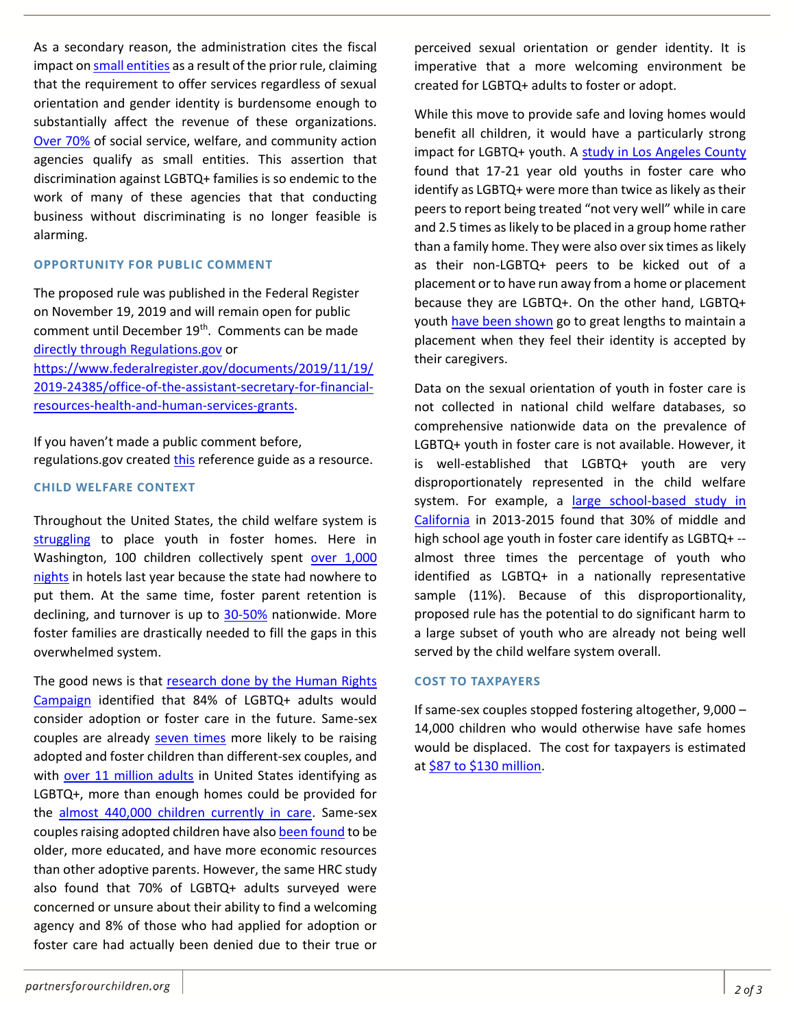As a secondary reason, the administration cites the fiscal impact on [small entities](https://www.law.cornell.edu/cfr/text/37/1.27) as a result of the prior rule, claiming that the requirement to offer services regardless of sexual orientation and gender identity is burdensome enough to substantially affect the revenue of these organizations. [Over 70%](https://taggs.hhs.gov/SearchRecip) of social service, welfare, and community action agencies qualify as small entities. This assertion that discrimination against LGBTQ+ families is so endemic to the work of many of these agencies that that conducting business without discriminating is no longer feasible is alarming.

## **OPPORTUNITY FOR PUBLIC COMMENT**

The proposed rule was published in the Federal Register on November 19, 2019 and will remain open for public comment until December 19<sup>th</sup>. Comments can be made [directly through Regulations.gov](https://www.regulations.gov/comment?D=HHS-OS-2019-0014-0001) or [https://www.federalregister.gov/documents/2019/11/19/](https://www.federalregister.gov/documents/2019/11/19/2019-24385/office-of-the-assistant-secretary-for-financial-resources-health-and-human-services-grants) [2019-24385/office-of-the-assistant-secretary-for-financial](https://www.federalregister.gov/documents/2019/11/19/2019-24385/office-of-the-assistant-secretary-for-financial-resources-health-and-human-services-grants)[resources-health-and-human-services-grants.](https://www.federalregister.gov/documents/2019/11/19/2019-24385/office-of-the-assistant-secretary-for-financial-resources-health-and-human-services-grants)

If you haven't made a public comment before, regulations.gov created [this](https://www.regulations.gov/docs/Tips_For_Submitting_Effective_Comments.pdf) reference guide as a resource.

## **CHILD WELFARE CONTEXT**

Throughout the United States, the child welfare system is [struggling](https://www.huffpost.com/entry/the-foster-care-crisis-the-shortage-of-foster-parents_b_59072dcfe4b05279d4edbdd9) to place youth in foster homes. Here in Washington, 100 children collectively spent [over 1,000](https://www.seattletimes.com/seattle-news/homeless/with-shortage-of-foster-parents-washington-has-almost-tenfold-increase-in-hotel-stays-for-foster-kids/)  [nights](https://www.seattletimes.com/seattle-news/homeless/with-shortage-of-foster-parents-washington-has-almost-tenfold-increase-in-hotel-stays-for-foster-kids/) in hotels last year because the state had nowhere to put them. At the same time, foster parent retention is declining, and turnover is up to [30-50%](https://www.huffpost.com/entry/the-foster-care-crisis-the-shortage-of-foster-parents_b_59072dcfe4b05279d4edbdd9) nationwide. More foster families are drastically needed to fill the gaps in this overwhelmed system.

The good news is that [research done by the Human Rights](https://assets2.hrc.org/files/assets/resources/ACAF2019-ChangemakersInChildWelfare-Report.pdf)  [Campaign](https://assets2.hrc.org/files/assets/resources/ACAF2019-ChangemakersInChildWelfare-Report.pdf) identified that 84% of LGBTQ+ adults would consider adoption or foster care in the future. Same-sex couples are already [seven times](https://williamsinstitute.law.ucla.edu/press/same-sex-parenting/) more likely to be raising adopted and foster children than different-sex couples, and with [over 11 million adults](https://news.gallup.com/poll/234863/estimate-lgbt-population-rises.aspx?g_source=link_NEWSV9&g_medium=TOPIC&g_campaign=item_&g_content=In%2520U.S.%2c%2520Estimate%2520of%2520LGBT%2520Population%2520Rises%2520to%25204.5%2525) in United States identifying as LGBTQ+, more than enough homes could be provided for the [almost 440,000 children currently in care.](https://www.acf.hhs.gov/sites/default/files/cb/afcarsreport25.pdf) Same-sex couples raising adopted children have also [been found](https://williamsinstitute.law.ucla.edu/wp-content/uploads/Gates-Badgett-Macomber-Chambers-Final-Adoption-Report-Mar-2007.pdf) to be older, more educated, and have more economic resources than other adoptive parents. However, the same HRC study also found that 70% of LGBTQ+ adults surveyed were concerned or unsure about their ability to find a welcoming agency and 8% of those who had applied for adoption or foster care had actually been denied due to their true or

perceived sexual orientation or gender identity. It is imperative that a more welcoming environment be created for LGBTQ+ adults to foster or adopt.

While this move to provide safe and loving homes would benefit all children, it would have a particularly strong impact for LGBTQ+ youth. A study in Los [Angeles County](https://williamsinstitute.law.ucla.edu/wp-content/uploads/LAFYS_report_final-aug-2014.pdf) found that 17-21 year old youths in foster care who identify as LGBTQ+ were more than twice as likely as their peers to report being treated "not very well" while in care and 2.5 times as likely to be placed in a group home rather than a family home. They were also over six times as likely as their non-LGBTQ+ peers to be kicked out of a placement or to have run away from a home or placement because they are LGBTQ+. On the other hand, LGBTQ+ yout[h have been shown](https://doi.org/10.1016/j.childyouth.2015.12.005) go to great lengths to maintain a placement when they feel their identity is accepted by their caregivers.

Data on the sexual orientation of youth in foster care is not collected in national child welfare databases, so comprehensive nationwide data on the prevalence of LGBTQ+ youth in foster care is not available. However, it is well-established that LGBTQ+ youth are very disproportionately represented in the child welfare system. For example, a [large school-based study in](https://pediatrics.aappublications.org/content/pediatrics/early/2019/02/07/peds.2017-4211.full.pdf)  [California](https://pediatrics.aappublications.org/content/pediatrics/early/2019/02/07/peds.2017-4211.full.pdf) in 2013-2015 found that 30% of middle and high school age youth in foster care identify as LGBTQ+ - almost three times the percentage of youth who identified as LGBTQ+ in a nationally representative sample (11%). Because of this disproportionality, proposed rule has the potential to do significant harm to a large subset of youth who are already not being well served by the child welfare system overall.

## **COST TO TAXPAYERS**

If same-sex couples stopped fostering altogether, 9,000 – 14,000 children who would otherwise have safe homes would be displaced. The cost for taxpayers is estimated a[t \\$87 to \\$130 million.](https://williamsinstitute.law.ucla.edu/wp-content/uploads/Gates-Badgett-Macomber-Chambers-Final-Adoption-Report-Mar-2007.pdf)